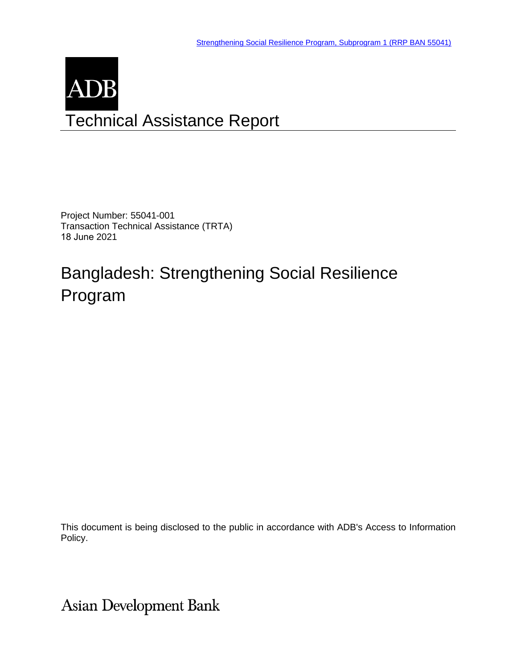# ADB Technical Assistance Report

Project Number: 55041-001 Transaction Technical Assistance (TRTA) 18 June 2021

# Bangladesh: Strengthening Social Resilience Program

This document is being disclosed to the public in accordance with ADB's Access to Information Policy.

**Asian Development Bank**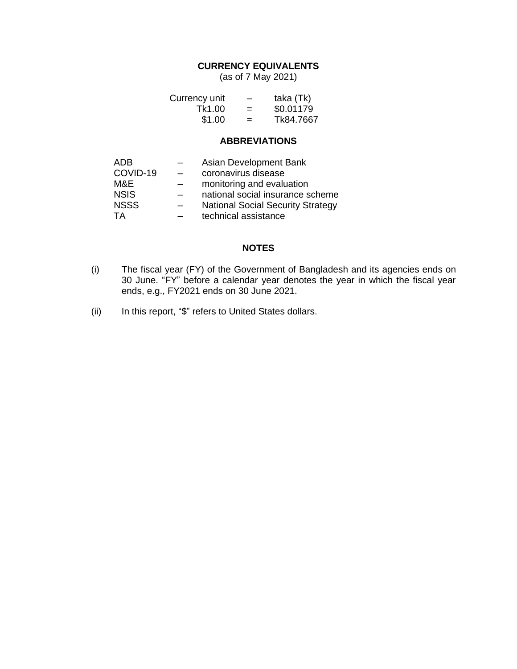#### **CURRENCY EQUIVALENTS**

(as of 7 May 2021)

| Currency unit | $\overline{\phantom{0}}$ | taka (Tk) |
|---------------|--------------------------|-----------|
| Tk1.00        | $=$                      | \$0.01179 |
| \$1.00        | $=$                      | Tk84.7667 |

#### **ABBREVIATIONS**

| ADB.        | Asian Development Bank                   |
|-------------|------------------------------------------|
| COVID-19    | coronavirus disease                      |
| M&E         | monitoring and evaluation                |
| <b>NSIS</b> | national social insurance scheme         |
| <b>NSSS</b> | <b>National Social Security Strategy</b> |
| TA          | technical assistance                     |

#### **NOTES**

- (i) The fiscal year (FY) of the Government of Bangladesh and its agencies ends on 30 June. "FY" before a calendar year denotes the year in which the fiscal year ends, e.g., FY2021 ends on 30 June 2021.
- (ii) In this report, "\$" refers to United States dollars.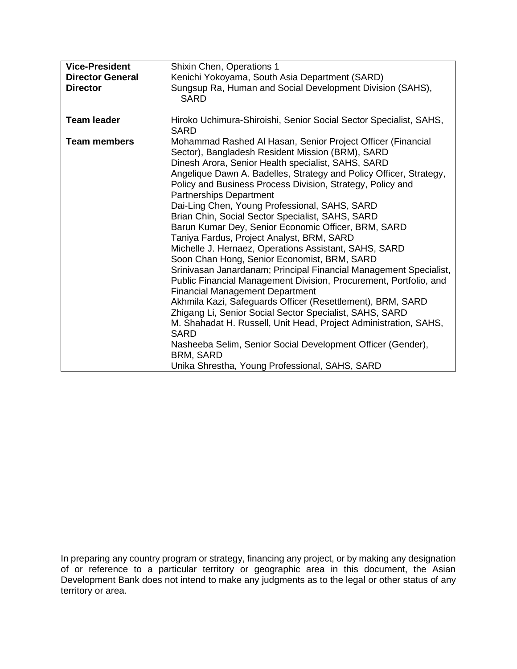| <b>Vice-President</b><br><b>Director General</b><br><b>Director</b> | Shixin Chen, Operations 1<br>Kenichi Yokoyama, South Asia Department (SARD)<br>Sungsup Ra, Human and Social Development Division (SAHS),<br><b>SARD</b>                                                                                                                                                                                                                                                                                                                                                                                                                                                                                                                                                                                                                                                                                                                                                                                                                                                                                                                                                                                                                                    |
|---------------------------------------------------------------------|--------------------------------------------------------------------------------------------------------------------------------------------------------------------------------------------------------------------------------------------------------------------------------------------------------------------------------------------------------------------------------------------------------------------------------------------------------------------------------------------------------------------------------------------------------------------------------------------------------------------------------------------------------------------------------------------------------------------------------------------------------------------------------------------------------------------------------------------------------------------------------------------------------------------------------------------------------------------------------------------------------------------------------------------------------------------------------------------------------------------------------------------------------------------------------------------|
| <b>Team leader</b>                                                  | Hiroko Uchimura-Shiroishi, Senior Social Sector Specialist, SAHS,<br><b>SARD</b>                                                                                                                                                                                                                                                                                                                                                                                                                                                                                                                                                                                                                                                                                                                                                                                                                                                                                                                                                                                                                                                                                                           |
| <b>Team members</b>                                                 | Mohammad Rashed Al Hasan, Senior Project Officer (Financial<br>Sector), Bangladesh Resident Mission (BRM), SARD<br>Dinesh Arora, Senior Health specialist, SAHS, SARD<br>Angelique Dawn A. Badelles, Strategy and Policy Officer, Strategy,<br>Policy and Business Process Division, Strategy, Policy and<br><b>Partnerships Department</b><br>Dai-Ling Chen, Young Professional, SAHS, SARD<br>Brian Chin, Social Sector Specialist, SAHS, SARD<br>Barun Kumar Dey, Senior Economic Officer, BRM, SARD<br>Taniya Fardus, Project Analyst, BRM, SARD<br>Michelle J. Hernaez, Operations Assistant, SAHS, SARD<br>Soon Chan Hong, Senior Economist, BRM, SARD<br>Srinivasan Janardanam; Principal Financial Management Specialist,<br>Public Financial Management Division, Procurement, Portfolio, and<br><b>Financial Management Department</b><br>Akhmila Kazi, Safeguards Officer (Resettlement), BRM, SARD<br>Zhigang Li, Senior Social Sector Specialist, SAHS, SARD<br>M. Shahadat H. Russell, Unit Head, Project Administration, SAHS,<br>SARD<br>Nasheeba Selim, Senior Social Development Officer (Gender),<br><b>BRM, SARD</b><br>Unika Shrestha, Young Professional, SAHS, SARD |

In preparing any country program or strategy, financing any project, or by making any designation of or reference to a particular territory or geographic area in this document, the Asian Development Bank does not intend to make any judgments as to the legal or other status of any territory or area.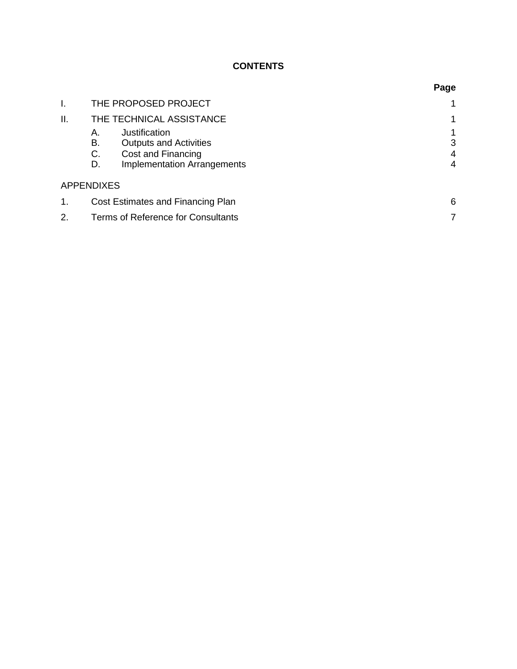# **CONTENTS**

|     |                                          | Page |
|-----|------------------------------------------|------|
| I.  | THE PROPOSED PROJECT                     |      |
| II. | THE TECHNICAL ASSISTANCE                 |      |
|     | Justification<br>А.                      |      |
|     | В.<br><b>Outputs and Activities</b>      | 3    |
|     | C.<br>Cost and Financing                 | 4    |
|     | <b>Implementation Arrangements</b><br>D. | 4    |
|     | <b>APPENDIXES</b>                        |      |
|     | Cost Estimates and Financing Plan        | 6    |
| 2.  | Terms of Reference for Consultants       |      |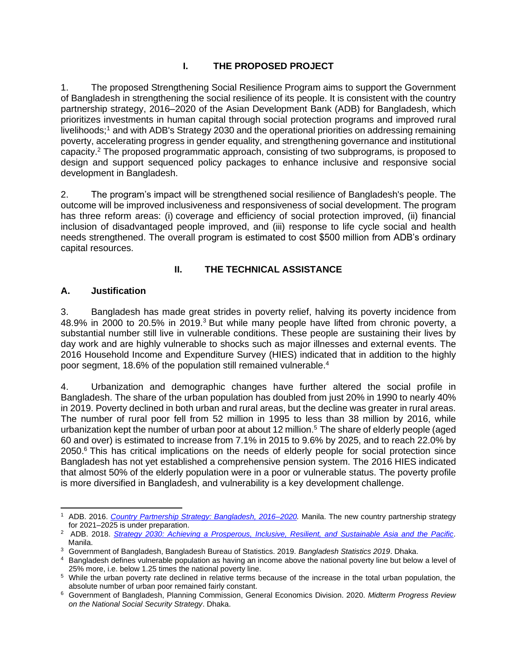## **I. THE PROPOSED PROJECT**

1. The proposed Strengthening Social Resilience Program aims to support the Government of Bangladesh in strengthening the social resilience of its people. It is consistent with the country partnership strategy, 2016–2020 of the Asian Development Bank (ADB) for Bangladesh, which prioritizes investments in human capital through social protection programs and improved rural livelihoods;<sup>1</sup> and with ADB's Strategy 2030 and the operational priorities on addressing remaining poverty, accelerating progress in gender equality, and strengthening governance and institutional capacity. <sup>2</sup> The proposed programmatic approach, consisting of two subprograms, is proposed to design and support sequenced policy packages to enhance inclusive and responsive social development in Bangladesh.

2. The program's impact will be strengthened social resilience of Bangladesh's people. The outcome will be improved inclusiveness and responsiveness of social development. The program has three reform areas: (i) coverage and efficiency of social protection improved, (ii) financial inclusion of disadvantaged people improved, and (iii) response to life cycle social and health needs strengthened. The overall program is estimated to cost \$500 million from ADB's ordinary capital resources.

#### **II. THE TECHNICAL ASSISTANCE**

#### **A. Justification**

3. Bangladesh has made great strides in poverty relief, halving its poverty incidence from 48.9% in 2000 to 20.5% in 2019.<sup>3</sup> But while many people have lifted from chronic poverty, a substantial number still live in vulnerable conditions. These people are sustaining their lives by day work and are highly vulnerable to shocks such as major illnesses and external events. The 2016 Household Income and Expenditure Survey (HIES) indicated that in addition to the highly poor segment, 18.6% of the population still remained vulnerable.<sup>4</sup>

4. Urbanization and demographic changes have further altered the social profile in Bangladesh. The share of the urban population has doubled from just 20% in 1990 to nearly 40% in 2019. Poverty declined in both urban and rural areas, but the decline was greater in rural areas. The number of rural poor fell from 52 million in 1995 to less than 38 million by 2016, while urbanization kept the number of urban poor at about 12 million. <sup>5</sup> The share of elderly people (aged 60 and over) is estimated to increase from 7.1% in 2015 to 9.6% by 2025, and to reach 22.0% by 2050.<sup>6</sup> This has critical implications on the needs of elderly people for social protection since Bangladesh has not yet established a comprehensive pension system. The 2016 HIES indicated that almost 50% of the elderly population were in a poor or vulnerable status. The poverty profile is more diversified in Bangladesh, and vulnerability is a key development challenge.

<sup>1</sup> ADB. 2016. *[Country Partnership Strategy: Bangladesh, 2016–2020.](https://www.adb.org/documents/bangladesh-country-partnership-strategy-2016-2020)* Manila. The new country partnership strategy for 2021–2025 is under preparation.

<sup>2</sup> ADB. 2018. *[Strategy 2030: Achieving a Prosperous, Inclusive, Resilient, and Sustainable Asia and the Pacific.](https://www.adb.org/documents/strategy-2030-prosperous-inclusive-resilient-sustainable-asia-pacific)* Manila.

<sup>3</sup> Government of Bangladesh, Bangladesh Bureau of Statistics. 2019. *Bangladesh Statistics 2019*. Dhaka.

<sup>4</sup> Bangladesh defines vulnerable population as having an income above the national poverty line but below a level of 25% more, i.e. below 1.25 times the national poverty line.

<sup>&</sup>lt;sup>5</sup> While the urban poverty rate declined in relative terms because of the increase in the total urban population, the absolute number of urban poor remained fairly constant.

<sup>6</sup> Government of Bangladesh, Planning Commission, General Economics Division. 2020. *Midterm Progress Review on the National Social Security Strategy*. Dhaka.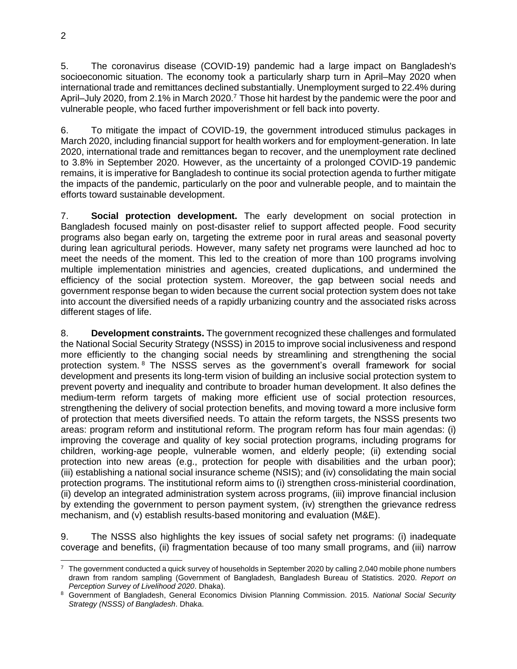5. The coronavirus disease (COVID-19) pandemic had a large impact on Bangladesh's socioeconomic situation. The economy took a particularly sharp turn in April–May 2020 when international trade and remittances declined substantially. Unemployment surged to 22.4% during April–July 2020, from 2.1% in March 2020.<sup>7</sup> Those hit hardest by the pandemic were the poor and vulnerable people, who faced further impoverishment or fell back into poverty.

6. To mitigate the impact of COVID-19, the government introduced stimulus packages in March 2020, including financial support for health workers and for employment-generation. In late 2020, international trade and remittances began to recover, and the unemployment rate declined to 3.8% in September 2020. However, as the uncertainty of a prolonged COVID-19 pandemic remains, it is imperative for Bangladesh to continue its social protection agenda to further mitigate the impacts of the pandemic, particularly on the poor and vulnerable people, and to maintain the efforts toward sustainable development.

7. **Social protection development.** The early development on social protection in Bangladesh focused mainly on post-disaster relief to support affected people. Food security programs also began early on, targeting the extreme poor in rural areas and seasonal poverty during lean agricultural periods. However, many safety net programs were launched ad hoc to meet the needs of the moment. This led to the creation of more than 100 programs involving multiple implementation ministries and agencies, created duplications, and undermined the efficiency of the social protection system. Moreover, the gap between social needs and government response began to widen because the current social protection system does not take into account the diversified needs of a rapidly urbanizing country and the associated risks across different stages of life.

8. **Development constraints.** The government recognized these challenges and formulated the National Social Security Strategy (NSSS) in 2015 to improve social inclusiveness and respond more efficiently to the changing social needs by streamlining and strengthening the social protection system. <sup>8</sup> The NSSS serves as the government's overall framework for social development and presents its long-term vision of building an inclusive social protection system to prevent poverty and inequality and contribute to broader human development. It also defines the medium-term reform targets of making more efficient use of social protection resources, strengthening the delivery of social protection benefits, and moving toward a more inclusive form of protection that meets diversified needs. To attain the reform targets, the NSSS presents two areas: program reform and institutional reform. The program reform has four main agendas: (i) improving the coverage and quality of key social protection programs, including programs for children, working-age people, vulnerable women, and elderly people; (ii) extending social protection into new areas (e.g., protection for people with disabilities and the urban poor); (iii) establishing a national social insurance scheme (NSIS); and (iv) consolidating the main social protection programs. The institutional reform aims to (i) strengthen cross-ministerial coordination, (ii) develop an integrated administration system across programs, (iii) improve financial inclusion by extending the government to person payment system, (iv) strengthen the grievance redress mechanism, and (v) establish results-based monitoring and evaluation (M&E).

9. The NSSS also highlights the key issues of social safety net programs: (i) inadequate coverage and benefits, (ii) fragmentation because of too many small programs, and (iii) narrow

 $7$  The government conducted a quick survey of households in September 2020 by calling 2,040 mobile phone numbers drawn from random sampling (Government of Bangladesh, Bangladesh Bureau of Statistics. 2020. *Report on Perception Survey of Livelihood 2020*. Dhaka).

<sup>8</sup> Government of Bangladesh, General Economics Division Planning Commission. 2015. *National Social Security Strategy (NSSS) of Bangladesh*. Dhaka.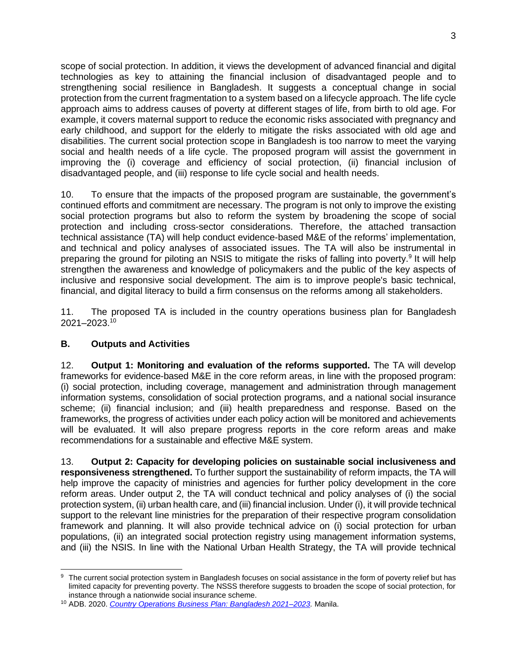scope of social protection. In addition, it views the development of advanced financial and digital technologies as key to attaining the financial inclusion of disadvantaged people and to strengthening social resilience in Bangladesh. It suggests a conceptual change in social protection from the current fragmentation to a system based on a lifecycle approach. The life cycle approach aims to address causes of poverty at different stages of life, from birth to old age. For example, it covers maternal support to reduce the economic risks associated with pregnancy and early childhood, and support for the elderly to mitigate the risks associated with old age and disabilities. The current social protection scope in Bangladesh is too narrow to meet the varying social and health needs of a life cycle. The proposed program will assist the government in improving the (i) coverage and efficiency of social protection, (ii) financial inclusion of disadvantaged people, and (iii) response to life cycle social and health needs.

10. To ensure that the impacts of the proposed program are sustainable, the government's continued efforts and commitment are necessary. The program is not only to improve the existing social protection programs but also to reform the system by broadening the scope of social protection and including cross-sector considerations. Therefore, the attached transaction technical assistance (TA) will help conduct evidence-based M&E of the reforms' implementation, and technical and policy analyses of associated issues. The TA will also be instrumental in preparing the ground for piloting an NSIS to mitigate the risks of falling into poverty.<sup>9</sup> It will help strengthen the awareness and knowledge of policymakers and the public of the key aspects of inclusive and responsive social development. The aim is to improve people's basic technical, financial, and digital literacy to build a firm consensus on the reforms among all stakeholders.

11. The proposed TA is included in the country operations business plan for Bangladesh 2021–2023.<sup>10</sup>

#### **B. Outputs and Activities**

12. **Output 1: Monitoring and evaluation of the reforms supported.** The TA will develop frameworks for evidence-based M&E in the core reform areas, in line with the proposed program: (i) social protection, including coverage, management and administration through management information systems, consolidation of social protection programs, and a national social insurance scheme; (ii) financial inclusion; and (iii) health preparedness and response. Based on the frameworks, the progress of activities under each policy action will be monitored and achievements will be evaluated. It will also prepare progress reports in the core reform areas and make recommendations for a sustainable and effective M&E system.

13. **Output 2: Capacity for developing policies on sustainable social inclusiveness and responsiveness strengthened.** To further support the sustainability of reform impacts, the TA will help improve the capacity of ministries and agencies for further policy development in the core reform areas. Under output 2, the TA will conduct technical and policy analyses of (i) the social protection system, (ii) urban health care, and (iii) financial inclusion. Under (i), it will provide technical support to the relevant line ministries for the preparation of their respective program consolidation framework and planning. It will also provide technical advice on (i) social protection for urban populations, (ii) an integrated social protection registry using management information systems, and (iii) the NSIS. In line with the National Urban Health Strategy, the TA will provide technical

<sup>9</sup> The current social protection system in Bangladesh focuses on social assistance in the form of poverty relief but has limited capacity for preventing poverty. The NSSS therefore suggests to broaden the scope of social protection, for instance through a nationwide social insurance scheme.

<sup>10</sup> ADB. 2020. *[Country Operations Business Plan: Bangladesh 2021–2023.](https://www.adb.org/documents/bangladesh-country-operations-business-plan-2021-2023)* Manila.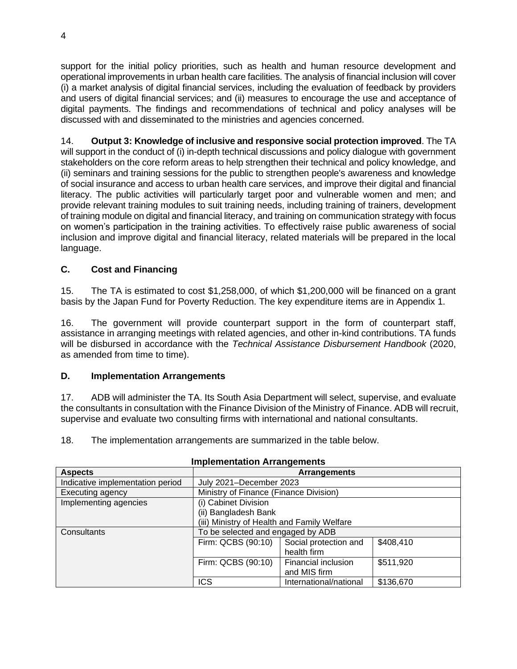support for the initial policy priorities, such as health and human resource development and operational improvements in urban health care facilities. The analysis of financial inclusion will cover (i) a market analysis of digital financial services, including the evaluation of feedback by providers and users of digital financial services; and (ii) measures to encourage the use and acceptance of digital payments. The findings and recommendations of technical and policy analyses will be discussed with and disseminated to the ministries and agencies concerned.

14. **Output 3: Knowledge of inclusive and responsive social protection improved**. The TA will support in the conduct of (i) in-depth technical discussions and policy dialogue with government stakeholders on the core reform areas to help strengthen their technical and policy knowledge, and (ii) seminars and training sessions for the public to strengthen people's awareness and knowledge of social insurance and access to urban health care services, and improve their digital and financial literacy. The public activities will particularly target poor and vulnerable women and men; and provide relevant training modules to suit training needs, including training of trainers, development of training module on digital and financial literacy, and training on communication strategy with focus on women's participation in the training activities. To effectively raise public awareness of social inclusion and improve digital and financial literacy, related materials will be prepared in the local language.

## **C. Cost and Financing**

15. The TA is estimated to cost \$1,258,000, of which \$1,200,000 will be financed on a grant basis by the Japan Fund for Poverty Reduction. The key expenditure items are in Appendix 1.

16. The government will provide counterpart support in the form of counterpart staff, assistance in arranging meetings with related agencies, and other in-kind contributions. TA funds will be disbursed in accordance with the *Technical Assistance Disbursement Handbook* (2020, as amended from time to time).

#### **D. Implementation Arrangements**

17. ADB will administer the TA. Its South Asia Department will select, supervise, and evaluate the consultants in consultation with the Finance Division of the Ministry of Finance. ADB will recruit, supervise and evaluate two consulting firms with international and national consultants.

18. The implementation arrangements are summarized in the table below.

| <b>Aspects</b>                   |                                             | <b>Arrangements</b>    |           |
|----------------------------------|---------------------------------------------|------------------------|-----------|
| Indicative implementation period | July 2021-December 2023                     |                        |           |
| Executing agency                 | Ministry of Finance (Finance Division)      |                        |           |
| Implementing agencies            | (i) Cabinet Division                        |                        |           |
|                                  | (ii) Bangladesh Bank                        |                        |           |
|                                  | (iii) Ministry of Health and Family Welfare |                        |           |
| Consultants                      | To be selected and engaged by ADB           |                        |           |
|                                  | Firm: QCBS (90:10)                          | Social protection and  | \$408,410 |
|                                  |                                             | health firm            |           |
|                                  | Firm: QCBS (90:10)                          | Financial inclusion    | \$511,920 |
|                                  |                                             | and MIS firm           |           |
|                                  | <b>ICS</b>                                  | International/national | \$136,670 |

#### **Implementation Arrangements**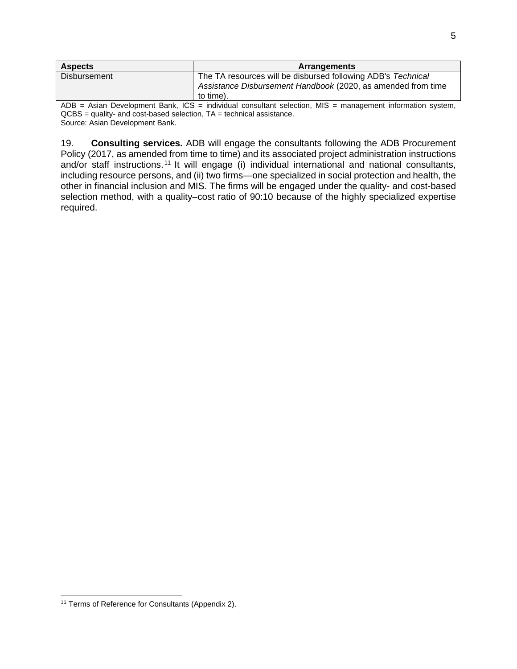| <b>Aspects</b>      | <b>Arrangements</b>                                          |
|---------------------|--------------------------------------------------------------|
| <b>Disbursement</b> | The TA resources will be disbursed following ADB's Technical |
|                     | Assistance Disbursement Handbook (2020, as amended from time |
|                     | to time).                                                    |

ADB = Asian Development Bank, ICS = individual consultant selection, MIS = management information system, QCBS = quality- and cost-based selection, TA = technical assistance. Source: Asian Development Bank.

19. **Consulting services.** ADB will engage the consultants following the ADB Procurement Policy (2017, as amended from time to time) and its associated project administration instructions and/or staff instructions.<sup>11</sup> It will engage (i) individual international and national consultants, including resource persons, and (ii) two firms—one specialized in social protection and health, the other in financial inclusion and MIS. The firms will be engaged under the quality- and cost-based selection method, with a quality–cost ratio of 90:10 because of the highly specialized expertise required.

<sup>&</sup>lt;sup>11</sup> Terms of Reference for Consultants (Appendix 2).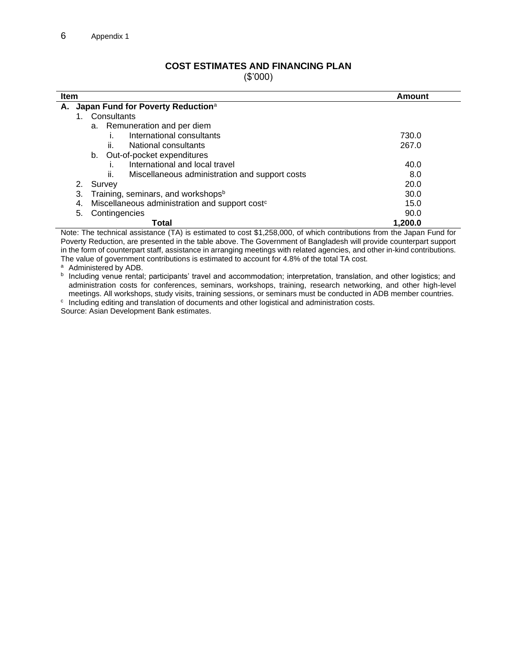### **COST ESTIMATES AND FINANCING PLAN**

(\$'000)

| Item                                                             | Amount  |
|------------------------------------------------------------------|---------|
| Japan Fund for Poverty Reduction <sup>a</sup><br>А.              |         |
| Consultants                                                      |         |
| a. Remuneration and per diem                                     |         |
| International consultants                                        | 730.0   |
| National consultants<br>ii.                                      | 267.0   |
| Out-of-pocket expenditures<br>b.                                 |         |
| International and local travel                                   | 40.0    |
| Miscellaneous administration and support costs<br>ii.            | 8.0     |
| 2.<br>Survey                                                     | 20.0    |
| Training, seminars, and workshops <sup>b</sup><br>3.             | 30.0    |
| Miscellaneous administration and support cost <sup>c</sup><br>4. | 15.0    |
| Contingencies<br>5.                                              | 90.0    |
| Total                                                            | 1.200.0 |

Note: The technical assistance (TA) is estimated to cost \$1,258,000, of which contributions from the Japan Fund for Poverty Reduction, are presented in the table above. The Government of Bangladesh will provide counterpart support in the form of counterpart staff, assistance in arranging meetings with related agencies, and other in-kind contributions. The value of government contributions is estimated to account for 4.8% of the total TA cost.

a Administered by ADB.

**b** Including venue rental; participants' travel and accommodation; interpretation, translation, and other logistics; and administration costs for conferences, seminars, workshops, training, research networking, and other high-level meetings. All workshops, study visits, training sessions, or seminars must be conducted in ADB member countries.

c Including editing and translation of documents and other logistical and administration costs. Source: Asian Development Bank estimates.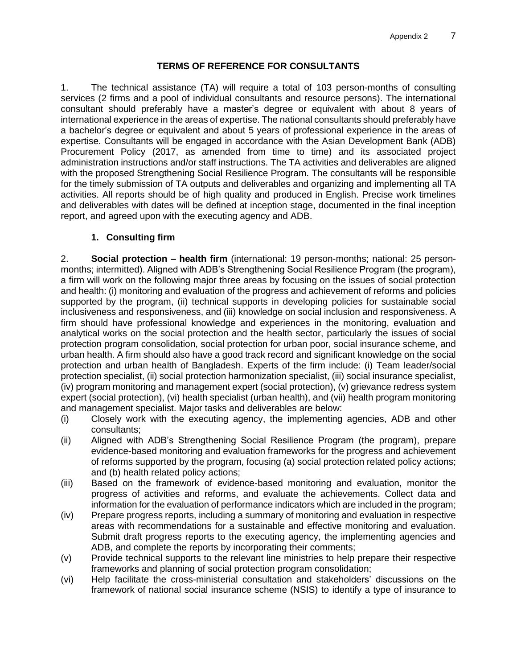#### **TERMS OF REFERENCE FOR CONSULTANTS**

1. The technical assistance (TA) will require a total of 103 person-months of consulting services (2 firms and a pool of individual consultants and resource persons). The international consultant should preferably have a master's degree or equivalent with about 8 years of international experience in the areas of expertise. The national consultants should preferably have a bachelor's degree or equivalent and about 5 years of professional experience in the areas of expertise. Consultants will be engaged in accordance with the Asian Development Bank (ADB) Procurement Policy (2017, as amended from time to time) and its associated project administration instructions and/or staff instructions. The TA activities and deliverables are aligned with the proposed Strengthening Social Resilience Program. The consultants will be responsible for the timely submission of TA outputs and deliverables and organizing and implementing all TA activities. All reports should be of high quality and produced in English. Precise work timelines and deliverables with dates will be defined at inception stage, documented in the final inception report, and agreed upon with the executing agency and ADB.

#### **1. Consulting firm**

2. **Social protection – health firm** (international: 19 person-months; national: 25 personmonths; intermitted). Aligned with ADB's Strengthening Social Resilience Program (the program), a firm will work on the following major three areas by focusing on the issues of social protection and health: (i) monitoring and evaluation of the progress and achievement of reforms and policies supported by the program, (ii) technical supports in developing policies for sustainable social inclusiveness and responsiveness, and (iii) knowledge on social inclusion and responsiveness. A firm should have professional knowledge and experiences in the monitoring, evaluation and analytical works on the social protection and the health sector, particularly the issues of social protection program consolidation, social protection for urban poor, social insurance scheme, and urban health. A firm should also have a good track record and significant knowledge on the social protection and urban health of Bangladesh. Experts of the firm include: (i) Team leader/social protection specialist, (ii) social protection harmonization specialist, (iii) social insurance specialist, (iv) program monitoring and management expert (social protection), (v) grievance redress system expert (social protection), (vi) health specialist (urban health), and (vii) health program monitoring and management specialist. Major tasks and deliverables are below:

- (i) Closely work with the executing agency, the implementing agencies, ADB and other consultants;
- (ii) Aligned with ADB's Strengthening Social Resilience Program (the program), prepare evidence-based monitoring and evaluation frameworks for the progress and achievement of reforms supported by the program, focusing (a) social protection related policy actions; and (b) health related policy actions;
- (iii) Based on the framework of evidence-based monitoring and evaluation, monitor the progress of activities and reforms, and evaluate the achievements. Collect data and information for the evaluation of performance indicators which are included in the program;
- (iv) Prepare progress reports, including a summary of monitoring and evaluation in respective areas with recommendations for a sustainable and effective monitoring and evaluation. Submit draft progress reports to the executing agency, the implementing agencies and ADB, and complete the reports by incorporating their comments;
- (v) Provide technical supports to the relevant line ministries to help prepare their respective frameworks and planning of social protection program consolidation;
- (vi) Help facilitate the cross-ministerial consultation and stakeholders' discussions on the framework of national social insurance scheme (NSIS) to identify a type of insurance to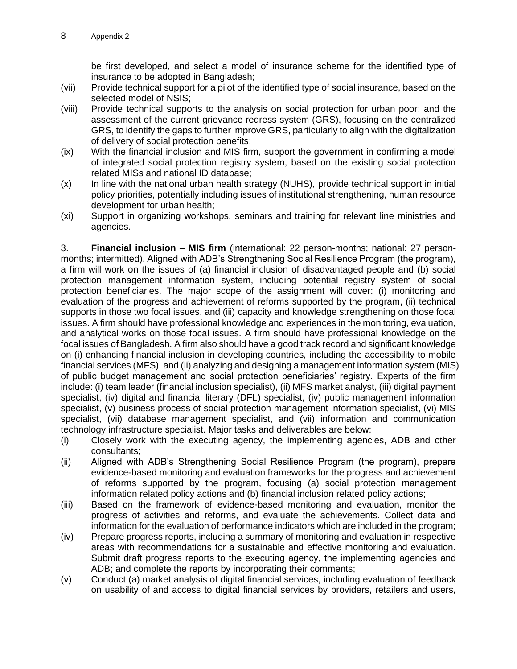be first developed, and select a model of insurance scheme for the identified type of insurance to be adopted in Bangladesh;

- (vii) Provide technical support for a pilot of the identified type of social insurance, based on the selected model of NSIS;
- (viii) Provide technical supports to the analysis on social protection for urban poor; and the assessment of the current grievance redress system (GRS), focusing on the centralized GRS, to identify the gaps to further improve GRS, particularly to align with the digitalization of delivery of social protection benefits;
- (ix) With the financial inclusion and MIS firm, support the government in confirming a model of integrated social protection registry system, based on the existing social protection related MISs and national ID database;
- (x) In line with the national urban health strategy (NUHS), provide technical support in initial policy priorities, potentially including issues of institutional strengthening, human resource development for urban health;
- (xi) Support in organizing workshops, seminars and training for relevant line ministries and agencies.

3. **Financial inclusion – MIS firm** (international: 22 person-months; national: 27 personmonths; intermitted). Aligned with ADB's Strengthening Social Resilience Program (the program), a firm will work on the issues of (a) financial inclusion of disadvantaged people and (b) social protection management information system, including potential registry system of social protection beneficiaries. The major scope of the assignment will cover: (i) monitoring and evaluation of the progress and achievement of reforms supported by the program, (ii) technical supports in those two focal issues, and (iii) capacity and knowledge strengthening on those focal issues. A firm should have professional knowledge and experiences in the monitoring, evaluation, and analytical works on those focal issues. A firm should have professional knowledge on the focal issues of Bangladesh. A firm also should have a good track record and significant knowledge on (i) enhancing financial inclusion in developing countries, including the accessibility to mobile financial services (MFS), and (ii) analyzing and designing a management information system (MIS) of public budget management and social protection beneficiaries' registry. Experts of the firm include: (i) team leader (financial inclusion specialist), (ii) MFS market analyst, (iii) digital payment specialist, (iv) digital and financial literary (DFL) specialist, (iv) public management information specialist, (v) business process of social protection management information specialist, (vi) MIS specialist, (vii) database management specialist, and (vii) information and communication technology infrastructure specialist. Major tasks and deliverables are below:

- (i) Closely work with the executing agency, the implementing agencies, ADB and other consultants;
- (ii) Aligned with ADB's Strengthening Social Resilience Program (the program), prepare evidence-based monitoring and evaluation frameworks for the progress and achievement of reforms supported by the program, focusing (a) social protection management information related policy actions and (b) financial inclusion related policy actions;
- (iii) Based on the framework of evidence-based monitoring and evaluation, monitor the progress of activities and reforms, and evaluate the achievements. Collect data and information for the evaluation of performance indicators which are included in the program;
- (iv) Prepare progress reports, including a summary of monitoring and evaluation in respective areas with recommendations for a sustainable and effective monitoring and evaluation. Submit draft progress reports to the executing agency, the implementing agencies and ADB; and complete the reports by incorporating their comments;
- (v) Conduct (a) market analysis of digital financial services, including evaluation of feedback on usability of and access to digital financial services by providers, retailers and users,